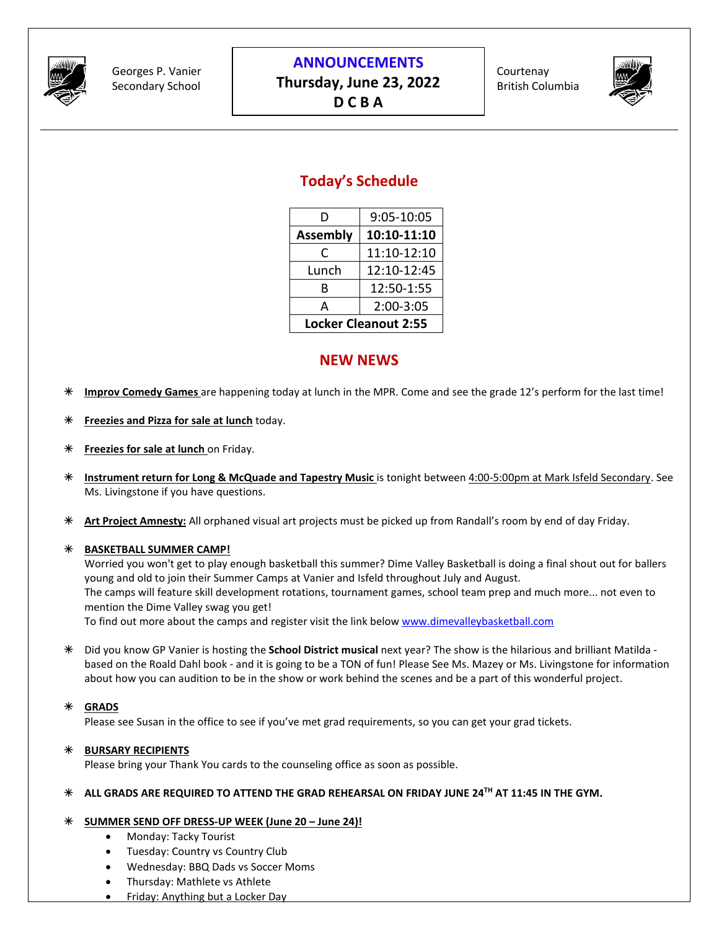

Georges P. Vanier Secondary School

### **ANNOUNCEMENTS**

**Thursday, June 23, 2022 D C B A**

Courtenay British Columbia



# **Today's Schedule**

| D                           | 9:05-10:05  |  |
|-----------------------------|-------------|--|
| <b>Assembly</b>             | 10:10-11:10 |  |
| C                           | 11:10-12:10 |  |
| Lunch                       | 12:10-12:45 |  |
| R                           | 12:50-1:55  |  |
| А                           | 2:00-3:05   |  |
| <b>Locker Cleanout 2:55</b> |             |  |

### **NEW NEWS**

- **Improv Comedy Games** are happening today at lunch in the MPR. Come and see the grade 12's perform for the last time!
- **Freezies and Pizza for sale at lunch** today.
- **Freezies for sale at lunch** on Friday.
- **Instrument return for Long & McQuade and Tapestry Music** is tonight between 4:00-5:00pm at Mark Isfeld Secondary. See Ms. Livingstone if you have questions.
- **Art Project Amnesty:** All orphaned visual art projects must be picked up from Randall's room by end of day Friday.

### **BASKETBALL SUMMER CAMP!**

Worried you won't get to play enough basketball this summer? Dime Valley Basketball is doing a final shout out for ballers young and old to join their Summer Camps at Vanier and Isfeld throughout July and August. The camps will feature skill development rotations, tournament games, school team prep and much more... not even to mention the Dime Valley swag you get! To find out more about the camps and register visit the link belo[w www.dimevalleybasketball.com](http://www.dimevalleybasketball.com/)

Did you know GP Vanier is hosting the **School District musical** next year? The show is the hilarious and brilliant Matilda -

based on the Roald Dahl book - and it is going to be a TON of fun! Please See Ms. Mazey or Ms. Livingstone for information about how you can audition to be in the show or work behind the scenes and be a part of this wonderful project.

### **GRADS**

Please see Susan in the office to see if you've met grad requirements, so you can get your grad tickets.

### **BURSARY RECIPIENTS**

Please bring your Thank You cards to the counseling office as soon as possible.

### **ALL GRADS ARE REQUIRED TO ATTEND THE GRAD REHEARSAL ON FRIDAY JUNE 24TH AT 11:45 IN THE GYM.**

### **SUMMER SEND OFF DRESS-UP WEEK (June 20 – June 24)!**

- Monday: Tacky Tourist
- Tuesday: Country vs Country Club
- Wednesday: BBQ Dads vs Soccer Moms
- Thursday: Mathlete vs Athlete
- Friday: Anything but a Locker Day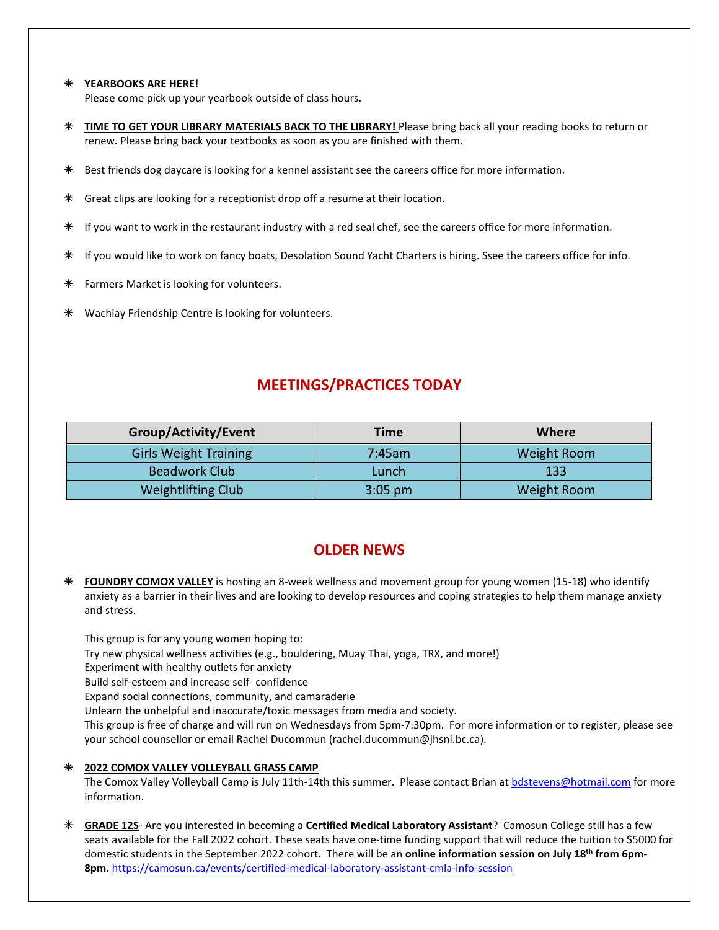#### **YEARBOOKS ARE HERE!**

Please come pick up your yearbook outside of class hours.

- **TIME TO GET YOUR LIBRARY MATERIALS BACK TO THE LIBRARY!** Please bring back all your reading books to return or renew. Please bring back your textbooks as soon as you are finished with them.
- $*$  Best friends dog daycare is looking for a kennel assistant see the careers office for more information.
- Great clips are looking for a receptionist drop off a resume at their location.
- $*$  If you want to work in the restaurant industry with a red seal chef, see the careers office for more information.
- $*$  If you would like to work on fancy boats, Desolation Sound Yacht Charters is hiring. Ssee the careers office for info.
- **\*** Farmers Market is looking for volunteers.
- Wachiay Friendship Centre is looking for volunteers.

### **MEETINGS/PRACTICES TODAY**

| Group/Activity/Event         | Time      | Where              |
|------------------------------|-----------|--------------------|
| <b>Girls Weight Training</b> | 7:45am    | <b>Weight Room</b> |
| <b>Beadwork Club</b>         | Lunch     | 133                |
| <b>Weightlifting Club</b>    | $3:05$ pm | <b>Weight Room</b> |

### **OLDER NEWS**

 **FOUNDRY COMOX VALLEY** is hosting an 8-week wellness and movement group for young women (15-18) who identify anxiety as a barrier in their lives and are looking to develop resources and coping strategies to help them manage anxiety and stress.

This group is for any young women hoping to:

Try new physical wellness activities (e.g., bouldering, Muay Thai, yoga, TRX, and more!)

Experiment with healthy outlets for anxiety

Build self-esteem and increase self- confidence

Expand social connections, community, and camaraderie

Unlearn the unhelpful and inaccurate/toxic messages from media and society.

This group is free of charge and will run on Wednesdays from 5pm-7:30pm. For more information or to register, please see your school counsellor or email Rachel Ducommun (rachel.ducommun@jhsni.bc.ca).

### **2022 COMOX VALLEY VOLLEYBALL GRASS CAMP**

The Comox Valley Volleyball Camp is July 11th-14th this summer. Please contact Brian a[t bdstevens@hotmail.com](mailto:bdstevens@hotmail.com) for more information.

 **GRADE 12S**- Are you interested in becoming a **Certified Medical Laboratory Assistant**? Camosun College still has a few seats available for the Fall 2022 cohort. These seats have one-time funding support that will reduce the tuition to \$5000 for domestic students in the September 2022 cohort. There will be an **online information session on July 18th from 6pm-8pm**. <https://camosun.ca/events/certified-medical-laboratory-assistant-cmla-info-session>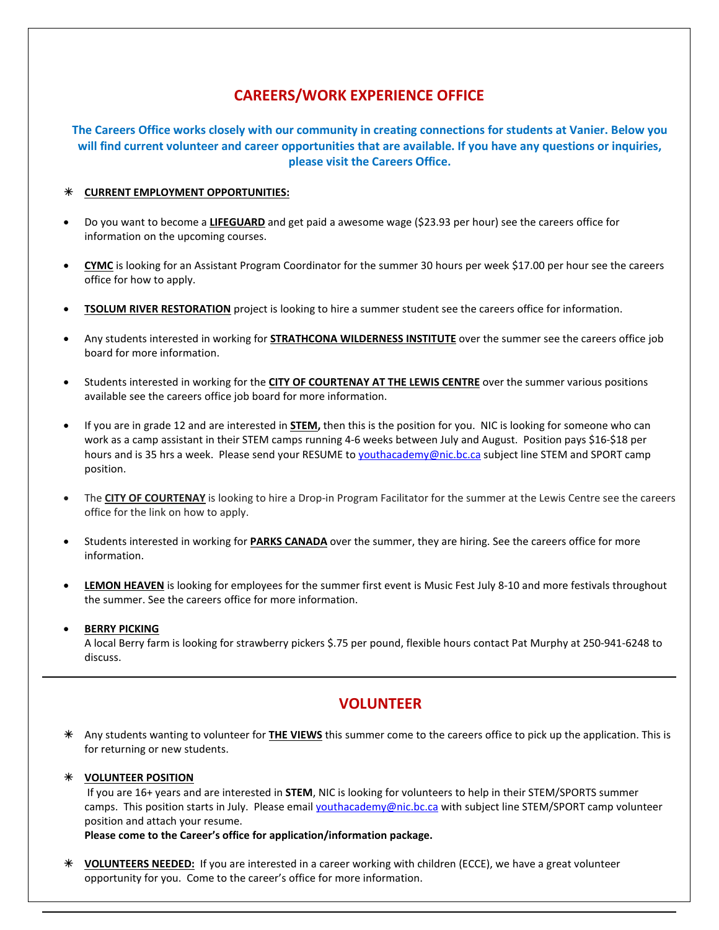## **CAREERS/WORK EXPERIENCE OFFICE**

**The Careers Office works closely with our community in creating connections for students at Vanier. Below you will find current volunteer and career opportunities that are available. If you have any questions or inquiries, please visit the Careers Office.**

### **CURRENT EMPLOYMENT OPPORTUNITIES:**

- Do you want to become a **LIFEGUARD** and get paid a awesome wage (\$23.93 per hour) see the careers office for information on the upcoming courses.
- **CYMC** is looking for an Assistant Program Coordinator for the summer 30 hours per week \$17.00 per hour see the careers office for how to apply.
- **TSOLUM RIVER RESTORATION** project is looking to hire a summer student see the careers office for information.
- Any students interested in working for **STRATHCONA WILDERNESS INSTITUTE** over the summer see the careers office job board for more information.
- Students interested in working for the **CITY OF COURTENAY AT THE LEWIS CENTRE** over the summer various positions available see the careers office job board for more information.
- If you are in grade 12 and are interested in **STEM,** then this is the position for you. NIC is looking for someone who can work as a camp assistant in their STEM camps running 4-6 weeks between July and August. Position pays \$16-\$18 per hours and is 35 hrs a week. Please send your RESUME t[o youthacademy@nic.bc.ca](mailto:youthacademy@nic.bc.ca) subject line STEM and SPORT camp position.
- The **CITY OF COURTENAY** is looking to hire a Drop-in Program Facilitator for the summer at the Lewis Centre see the careers office for the link on how to apply.
- Students interested in working for **PARKS CANADA** over the summer, they are hiring. See the careers office for more information.
- **LEMON HEAVEN** is looking for employees for the summer first event is Music Fest July 8-10 and more festivals throughout the summer. See the careers office for more information.
- **BERRY PICKING**

A local Berry farm is looking for strawberry pickers \$.75 per pound, flexible hours contact Pat Murphy at 250-941-6248 to discuss.

## **VOLUNTEER**

 Any students wanting to volunteer for **THE VIEWS** this summer come to the careers office to pick up the application. This is for returning or new students.

### **VOLUNTEER POSITION**

If you are 16+ years and are interested in **STEM**, NIC is looking for volunteers to help in their STEM/SPORTS summer camps. This position starts in July. Please email [youthacademy@nic.bc.ca](mailto:youthacademy@nic.bc.ca) with subject line STEM/SPORT camp volunteer position and attach your resume.

**Please come to the Career's office for application/information package.**

 **VOLUNTEERS NEEDED:** If you are interested in a career working with children (ECCE), we have a great volunteer opportunity for you. Come to the career's office for more information.